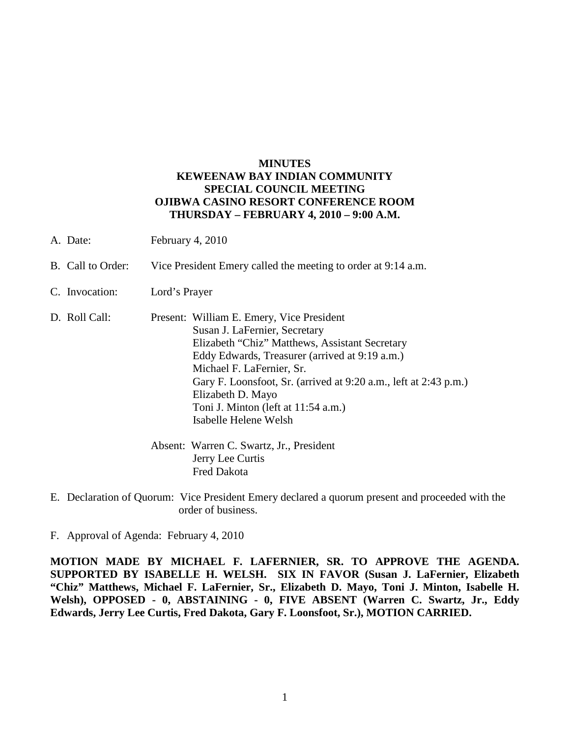## **MINUTES KEWEENAW BAY INDIAN COMMUNITY SPECIAL COUNCIL MEETING OJIBWA CASINO RESORT CONFERENCE ROOM THURSDAY – FEBRUARY 4, 2010 – 9:00 A.M.**

- A. Date: February 4, 2010
- B. Call to Order: Vice President Emery called the meeting to order at 9:14 a.m.
- C. Invocation: Lord's Prayer
- D. Roll Call: Present: William E. Emery, Vice President Susan J. LaFernier, Secretary Elizabeth "Chiz" Matthews, Assistant Secretary Eddy Edwards, Treasurer (arrived at 9:19 a.m.) Michael F. LaFernier, Sr. Gary F. Loonsfoot, Sr. (arrived at 9:20 a.m., left at 2:43 p.m.) Elizabeth D. Mayo Toni J. Minton (left at 11:54 a.m.) Isabelle Helene Welsh
	- Absent: Warren C. Swartz, Jr., President Jerry Lee Curtis Fred Dakota
- E. Declaration of Quorum: Vice President Emery declared a quorum present and proceeded with the order of business.

F. Approval of Agenda: February 4, 2010

**MOTION MADE BY MICHAEL F. LAFERNIER, SR. TO APPROVE THE AGENDA. SUPPORTED BY ISABELLE H. WELSH. SIX IN FAVOR (Susan J. LaFernier, Elizabeth "Chiz" Matthews, Michael F. LaFernier, Sr., Elizabeth D. Mayo, Toni J. Minton, Isabelle H. Welsh), OPPOSED - 0, ABSTAINING - 0, FIVE ABSENT (Warren C. Swartz, Jr., Eddy Edwards, Jerry Lee Curtis, Fred Dakota, Gary F. Loonsfoot, Sr.), MOTION CARRIED.**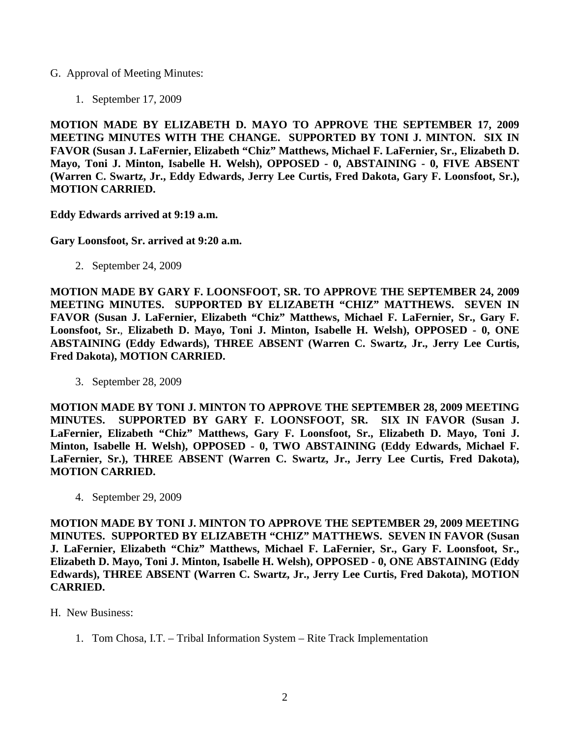- G. Approval of Meeting Minutes:
	- 1. September 17, 2009

**MOTION MADE BY ELIZABETH D. MAYO TO APPROVE THE SEPTEMBER 17, 2009 MEETING MINUTES WITH THE CHANGE. SUPPORTED BY TONI J. MINTON. SIX IN FAVOR (Susan J. LaFernier, Elizabeth "Chiz" Matthews, Michael F. LaFernier, Sr., Elizabeth D. Mayo, Toni J. Minton, Isabelle H. Welsh), OPPOSED - 0, ABSTAINING - 0, FIVE ABSENT (Warren C. Swartz, Jr., Eddy Edwards, Jerry Lee Curtis, Fred Dakota, Gary F. Loonsfoot, Sr.), MOTION CARRIED.**

**Eddy Edwards arrived at 9:19 a.m.** 

**Gary Loonsfoot, Sr. arrived at 9:20 a.m.** 

2. September 24, 2009

**MOTION MADE BY GARY F. LOONSFOOT, SR. TO APPROVE THE SEPTEMBER 24, 2009 MEETING MINUTES. SUPPORTED BY ELIZABETH "CHIZ" MATTHEWS. SEVEN IN FAVOR (Susan J. LaFernier, Elizabeth "Chiz" Matthews, Michael F. LaFernier, Sr., Gary F. Loonsfoot, Sr.**, **Elizabeth D. Mayo, Toni J. Minton, Isabelle H. Welsh), OPPOSED - 0, ONE ABSTAINING (Eddy Edwards), THREE ABSENT (Warren C. Swartz, Jr., Jerry Lee Curtis, Fred Dakota), MOTION CARRIED.**

3. September 28, 2009

**MOTION MADE BY TONI J. MINTON TO APPROVE THE SEPTEMBER 28, 2009 MEETING MINUTES. SUPPORTED BY GARY F. LOONSFOOT, SR. SIX IN FAVOR (Susan J. LaFernier, Elizabeth "Chiz" Matthews, Gary F. Loonsfoot, Sr., Elizabeth D. Mayo, Toni J. Minton, Isabelle H. Welsh), OPPOSED - 0, TWO ABSTAINING (Eddy Edwards, Michael F. LaFernier, Sr.), THREE ABSENT (Warren C. Swartz, Jr., Jerry Lee Curtis, Fred Dakota), MOTION CARRIED.**

4. September 29, 2009

**MOTION MADE BY TONI J. MINTON TO APPROVE THE SEPTEMBER 29, 2009 MEETING MINUTES. SUPPORTED BY ELIZABETH "CHIZ" MATTHEWS. SEVEN IN FAVOR (Susan J. LaFernier, Elizabeth "Chiz" Matthews, Michael F. LaFernier, Sr., Gary F. Loonsfoot, Sr., Elizabeth D. Mayo, Toni J. Minton, Isabelle H. Welsh), OPPOSED - 0, ONE ABSTAINING (Eddy Edwards), THREE ABSENT (Warren C. Swartz, Jr., Jerry Lee Curtis, Fred Dakota), MOTION CARRIED.**

- H. New Business:
	- 1. Tom Chosa, I.T. Tribal Information System Rite Track Implementation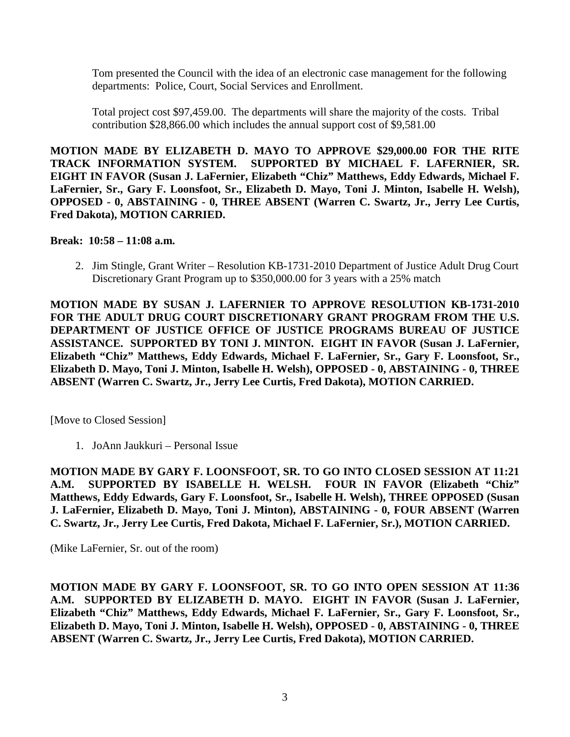Tom presented the Council with the idea of an electronic case management for the following departments: Police, Court, Social Services and Enrollment.

Total project cost \$97,459.00. The departments will share the majority of the costs. Tribal contribution \$28,866.00 which includes the annual support cost of \$9,581.00

**MOTION MADE BY ELIZABETH D. MAYO TO APPROVE \$29,000.00 FOR THE RITE TRACK INFORMATION SYSTEM. SUPPORTED BY MICHAEL F. LAFERNIER, SR. EIGHT IN FAVOR (Susan J. LaFernier, Elizabeth "Chiz" Matthews, Eddy Edwards, Michael F. LaFernier, Sr., Gary F. Loonsfoot, Sr., Elizabeth D. Mayo, Toni J. Minton, Isabelle H. Welsh), OPPOSED - 0, ABSTAINING - 0, THREE ABSENT (Warren C. Swartz, Jr., Jerry Lee Curtis, Fred Dakota), MOTION CARRIED.**

## **Break: 10:58 – 11:08 a.m.**

2. Jim Stingle, Grant Writer – Resolution KB-1731-2010 Department of Justice Adult Drug Court Discretionary Grant Program up to \$350,000.00 for 3 years with a 25% match

**MOTION MADE BY SUSAN J. LAFERNIER TO APPROVE RESOLUTION KB-1731-2010 FOR THE ADULT DRUG COURT DISCRETIONARY GRANT PROGRAM FROM THE U.S. DEPARTMENT OF JUSTICE OFFICE OF JUSTICE PROGRAMS BUREAU OF JUSTICE ASSISTANCE. SUPPORTED BY TONI J. MINTON. EIGHT IN FAVOR (Susan J. LaFernier, Elizabeth "Chiz" Matthews, Eddy Edwards, Michael F. LaFernier, Sr., Gary F. Loonsfoot, Sr., Elizabeth D. Mayo, Toni J. Minton, Isabelle H. Welsh), OPPOSED - 0, ABSTAINING - 0, THREE ABSENT (Warren C. Swartz, Jr., Jerry Lee Curtis, Fred Dakota), MOTION CARRIED.** 

[Move to Closed Session]

1. JoAnn Jaukkuri – Personal Issue

**MOTION MADE BY GARY F. LOONSFOOT, SR. TO GO INTO CLOSED SESSION AT 11:21 A.M. SUPPORTED BY ISABELLE H. WELSH. FOUR IN FAVOR (Elizabeth "Chiz" Matthews, Eddy Edwards, Gary F. Loonsfoot, Sr., Isabelle H. Welsh), THREE OPPOSED (Susan J. LaFernier, Elizabeth D. Mayo, Toni J. Minton), ABSTAINING - 0, FOUR ABSENT (Warren C. Swartz, Jr., Jerry Lee Curtis, Fred Dakota, Michael F. LaFernier, Sr.), MOTION CARRIED.**

(Mike LaFernier, Sr. out of the room)

**MOTION MADE BY GARY F. LOONSFOOT, SR. TO GO INTO OPEN SESSION AT 11:36 A.M. SUPPORTED BY ELIZABETH D. MAYO. EIGHT IN FAVOR (Susan J. LaFernier, Elizabeth "Chiz" Matthews, Eddy Edwards, Michael F. LaFernier, Sr., Gary F. Loonsfoot, Sr., Elizabeth D. Mayo, Toni J. Minton, Isabelle H. Welsh), OPPOSED - 0, ABSTAINING - 0, THREE ABSENT (Warren C. Swartz, Jr., Jerry Lee Curtis, Fred Dakota), MOTION CARRIED.**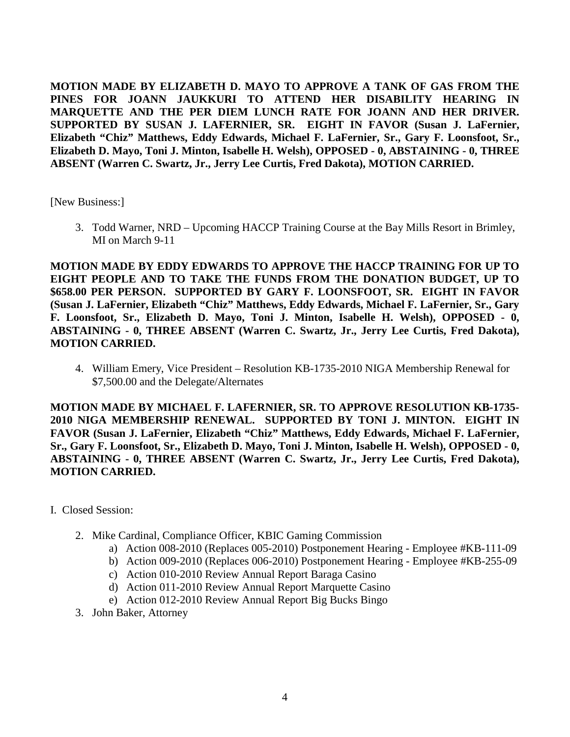**MOTION MADE BY ELIZABETH D. MAYO TO APPROVE A TANK OF GAS FROM THE PINES FOR JOANN JAUKKURI TO ATTEND HER DISABILITY HEARING IN MARQUETTE AND THE PER DIEM LUNCH RATE FOR JOANN AND HER DRIVER. SUPPORTED BY SUSAN J. LAFERNIER, SR. EIGHT IN FAVOR (Susan J. LaFernier, Elizabeth "Chiz" Matthews, Eddy Edwards, Michael F. LaFernier, Sr., Gary F. Loonsfoot, Sr., Elizabeth D. Mayo, Toni J. Minton, Isabelle H. Welsh), OPPOSED - 0, ABSTAINING - 0, THREE ABSENT (Warren C. Swartz, Jr., Jerry Lee Curtis, Fred Dakota), MOTION CARRIED.** 

[New Business:]

3. Todd Warner, NRD – Upcoming HACCP Training Course at the Bay Mills Resort in Brimley, MI on March 9-11

**MOTION MADE BY EDDY EDWARDS TO APPROVE THE HACCP TRAINING FOR UP TO EIGHT PEOPLE AND TO TAKE THE FUNDS FROM THE DONATION BUDGET, UP TO \$658.00 PER PERSON. SUPPORTED BY GARY F. LOONSFOOT, SR. EIGHT IN FAVOR (Susan J. LaFernier, Elizabeth "Chiz" Matthews, Eddy Edwards, Michael F. LaFernier, Sr., Gary F. Loonsfoot, Sr., Elizabeth D. Mayo, Toni J. Minton, Isabelle H. Welsh), OPPOSED - 0, ABSTAINING - 0, THREE ABSENT (Warren C. Swartz, Jr., Jerry Lee Curtis, Fred Dakota), MOTION CARRIED.**

4. William Emery, Vice President – Resolution KB-1735-2010 NIGA Membership Renewal for \$7,500.00 and the Delegate/Alternates

**MOTION MADE BY MICHAEL F. LAFERNIER, SR. TO APPROVE RESOLUTION KB-1735- 2010 NIGA MEMBERSHIP RENEWAL. SUPPORTED BY TONI J. MINTON. EIGHT IN FAVOR (Susan J. LaFernier, Elizabeth "Chiz" Matthews, Eddy Edwards, Michael F. LaFernier, Sr., Gary F. Loonsfoot, Sr., Elizabeth D. Mayo, Toni J. Minton, Isabelle H. Welsh), OPPOSED - 0, ABSTAINING - 0, THREE ABSENT (Warren C. Swartz, Jr., Jerry Lee Curtis, Fred Dakota), MOTION CARRIED.**

- I. Closed Session:
	- 2. Mike Cardinal, Compliance Officer, KBIC Gaming Commission
		- a) Action 008-2010 (Replaces 005-2010) Postponement Hearing Employee #KB-111-09
		- b) Action 009-2010 (Replaces 006-2010) Postponement Hearing Employee #KB-255-09
		- c) Action 010-2010 Review Annual Report Baraga Casino
		- d) Action 011-2010 Review Annual Report Marquette Casino
		- e) Action 012-2010 Review Annual Report Big Bucks Bingo
	- 3. John Baker, Attorney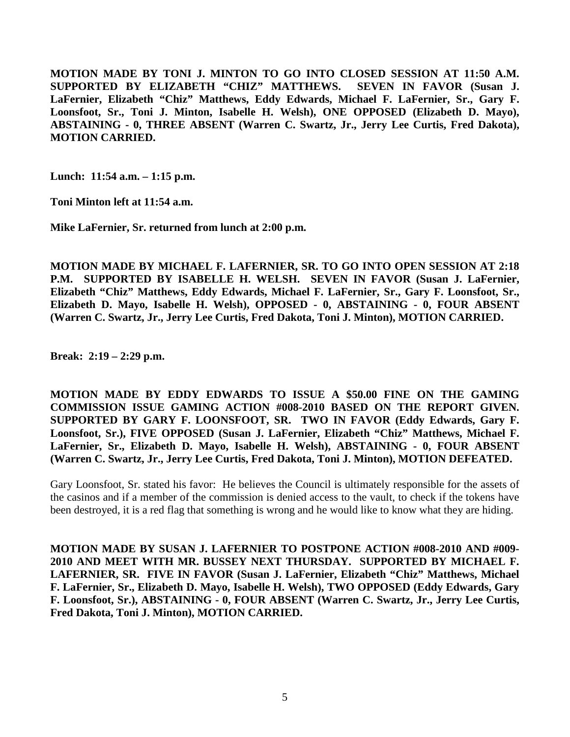**MOTION MADE BY TONI J. MINTON TO GO INTO CLOSED SESSION AT 11:50 A.M. SUPPORTED BY ELIZABETH "CHIZ" MATTHEWS. SEVEN IN FAVOR (Susan J. LaFernier, Elizabeth "Chiz" Matthews, Eddy Edwards, Michael F. LaFernier, Sr., Gary F. Loonsfoot, Sr., Toni J. Minton, Isabelle H. Welsh), ONE OPPOSED (Elizabeth D. Mayo), ABSTAINING - 0, THREE ABSENT (Warren C. Swartz, Jr., Jerry Lee Curtis, Fred Dakota), MOTION CARRIED.**

**Lunch: 11:54 a.m. – 1:15 p.m.** 

**Toni Minton left at 11:54 a.m.** 

**Mike LaFernier, Sr. returned from lunch at 2:00 p.m.**

**MOTION MADE BY MICHAEL F. LAFERNIER, SR. TO GO INTO OPEN SESSION AT 2:18 P.M. SUPPORTED BY ISABELLE H. WELSH. SEVEN IN FAVOR (Susan J. LaFernier, Elizabeth "Chiz" Matthews, Eddy Edwards, Michael F. LaFernier, Sr., Gary F. Loonsfoot, Sr., Elizabeth D. Mayo, Isabelle H. Welsh), OPPOSED - 0, ABSTAINING - 0, FOUR ABSENT (Warren C. Swartz, Jr., Jerry Lee Curtis, Fred Dakota, Toni J. Minton), MOTION CARRIED.** 

**Break: 2:19 – 2:29 p.m.** 

**MOTION MADE BY EDDY EDWARDS TO ISSUE A \$50.00 FINE ON THE GAMING COMMISSION ISSUE GAMING ACTION #008-2010 BASED ON THE REPORT GIVEN. SUPPORTED BY GARY F. LOONSFOOT, SR. TWO IN FAVOR (Eddy Edwards, Gary F. Loonsfoot, Sr.), FIVE OPPOSED (Susan J. LaFernier, Elizabeth "Chiz" Matthews, Michael F. LaFernier, Sr., Elizabeth D. Mayo, Isabelle H. Welsh), ABSTAINING - 0, FOUR ABSENT (Warren C. Swartz, Jr., Jerry Lee Curtis, Fred Dakota, Toni J. Minton), MOTION DEFEATED.** 

Gary Loonsfoot, Sr. stated his favor: He believes the Council is ultimately responsible for the assets of the casinos and if a member of the commission is denied access to the vault, to check if the tokens have been destroyed, it is a red flag that something is wrong and he would like to know what they are hiding.

**MOTION MADE BY SUSAN J. LAFERNIER TO POSTPONE ACTION #008-2010 AND #009- 2010 AND MEET WITH MR. BUSSEY NEXT THURSDAY. SUPPORTED BY MICHAEL F. LAFERNIER, SR. FIVE IN FAVOR (Susan J. LaFernier, Elizabeth "Chiz" Matthews, Michael F. LaFernier, Sr., Elizabeth D. Mayo, Isabelle H. Welsh), TWO OPPOSED (Eddy Edwards, Gary F. Loonsfoot, Sr.), ABSTAINING - 0, FOUR ABSENT (Warren C. Swartz, Jr., Jerry Lee Curtis, Fred Dakota, Toni J. Minton), MOTION CARRIED.**